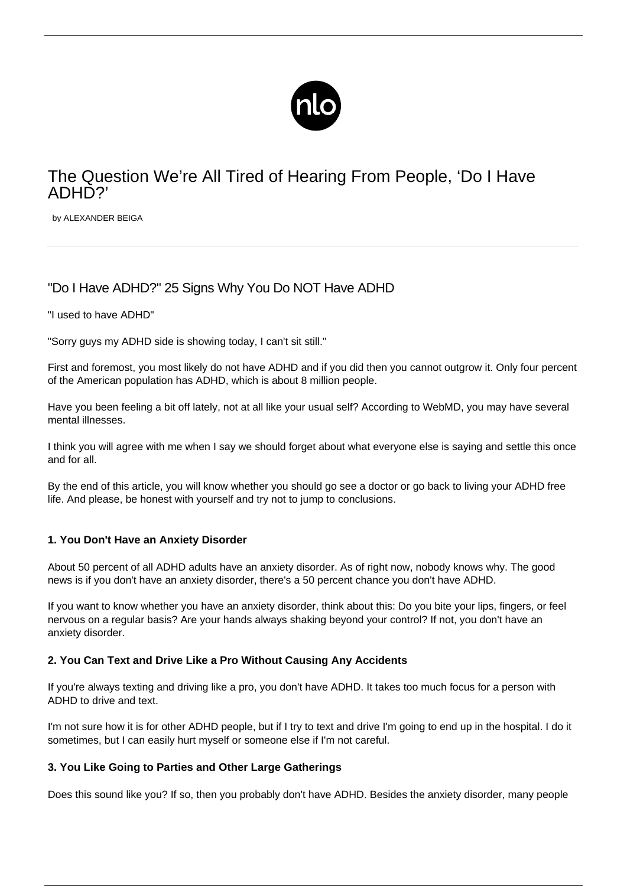

# The Question We're All Tired of Hearing From People, 'Do I Have ADHD?'

by ALEXANDER BEIGA

# "Do I Have ADHD?" 25 Signs Why You Do NOT Have ADHD

"I used to have ADHD"

"Sorry guys my ADHD side is showing today, I can't sit still."

First and foremost, you most likely do not have ADHD and if you did then you cannot outgrow it. Only four percent of the American population has ADHD, which is about 8 million people.

Have you been feeling a bit off lately, not at all like your usual self? According to WebMD, you may have several mental illnesses.

I think you will agree with me when I say we should forget about what everyone else is saying and settle this once and for all.

By the end of this article, you will know whether you should go see a doctor or go back to living your ADHD free life. And please, be honest with yourself and try not to jump to conclusions.

# **1. You Don't Have an Anxiety Disorder**

About 50 percent of all [ADHD adults have an anxiety disorder.](/adhd-anxiety/) As of right now, nobody knows why. The good news is if you don't have an anxiety disorder, there's a 50 percent chance you don't have ADHD.

If you want to know whether you have an anxiety disorder, think about this: Do you bite your lips, fingers, or feel nervous on a regular basis? Are your hands always shaking beyond your control? If not, you don't have an anxiety disorder.

# **2. You Can Text and Drive Like a Pro Without Causing Any Accidents**

If you're always texting and driving like a pro, you don't have ADHD. It takes too much focus for a person with ADHD to drive and text.

I'm not sure how it is for other ADHD people, but if I try to text and drive I'm going to end up in the hospital. I do it sometimes, but I can easily hurt myself or someone else if I'm not careful.

#### **3. You Like Going to Parties and Other Large Gatherings**

Does this sound like you? If so, then you probably don't have ADHD. Besides the anxiety disorder, many people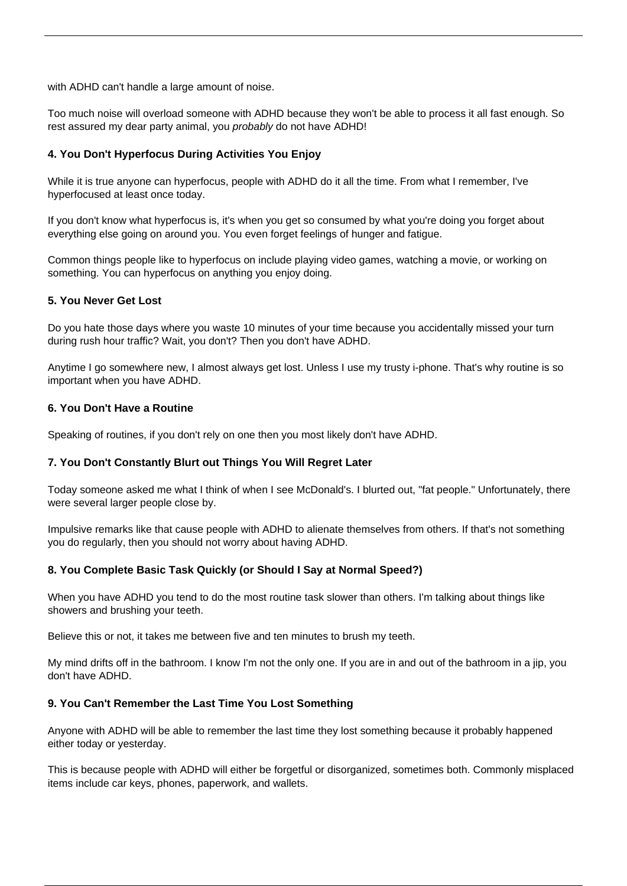with ADHD can't handle a large amount of noise.

Too much noise will overload someone with ADHD because they won't be able to process it all fast enough. So rest assured my dear party animal, you *probably* do not have ADHD!

#### **4. You Don't Hyperfocus During Activities You Enjoy**

While it is true anyone can hyperfocus, [people with ADHD do it all the time](/adhd-hyperfocus/). From what I remember, I've hyperfocused at least once today.

If you don't know what hyperfocus is, it's when you get so consumed by what you're doing you forget about everything else going on around you. You even forget feelings of hunger and fatigue.

Common things people like to [hyperfocus](/hyperfocus-adhd/) on include playing video games, watching a movie, or working on something. You can hyperfocus on anything you enjoy doing.

#### **5. You Never Get Lost**

Do you hate those days where you waste 10 minutes of your time because you accidentally missed your turn during rush hour traffic? Wait, you don't? Then you don't have ADHD.

Anytime I go somewhere new, I almost always get lost. Unless I use my trusty i-phone. That's why routine is so important when you have ADHD.

#### **6. You Don't Have a Routine**

Speaking of [routines,](/keeping-routine-adhd/) if you don't rely on one then you most likely don't have ADHD.

#### **7. You Don't Constantly Blurt out Things You Will Regret Later**

Today someone asked me what I think of when I see McDonald's. I blurted out, "fat people." Unfortunately, there were several larger people close by.

Impulsive remarks like that cause people with ADHD to alienate themselves from others. If that's not something you do regularly, then you should not worry about having ADHD.

#### **8. You Complete Basic Task Quickly (or Should I Say at Normal Speed?)**

When you have ADHD you tend to do the most routine task slower than others. I'm talking about things like showers and brushing your teeth.

Believe this or not, it takes me between five and ten minutes to brush my teeth.

My mind drifts off in the bathroom. I know I'm not the only one. If you are in and out of the bathroom in a jip, you don't have ADHD.

#### **9. You Can't Remember the Last Time You Lost Something**

Anyone with ADHD will be able to remember the last time they lost something because it probably happened either today or yesterday.

This is because people with ADHD will either be forgetful or [disorganized,](/adhd-organization/) sometimes both. Commonly misplaced items include car keys, phones, paperwork, and wallets.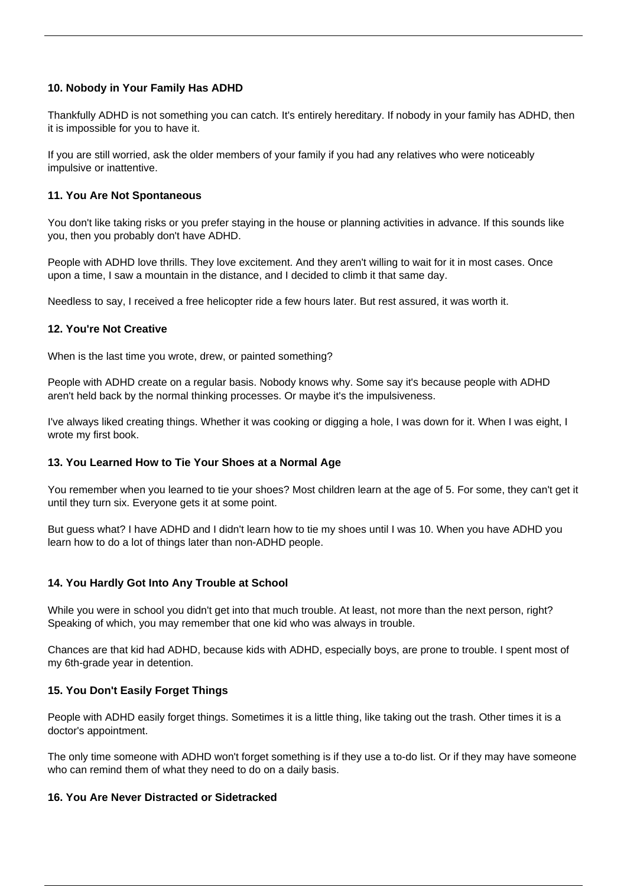# **10. Nobody in Your Family Has ADHD**

Thankfully ADHD is not something you can catch. It's entirely [hereditary](/is-adhd-hereditary/). If nobody in your family has ADHD, then it is impossible for you to have it.

If you are still worried, ask the older members of your family if you had any relatives who were noticeably impulsive or inattentive.

### **11. You Are Not Spontaneous**

You don't like taking risks or you prefer staying in the house or planning activities in advance. If this sounds like you, then you probably don't have ADHD.

People with ADHD love thrills. They love excitement. And they aren't willing to wait for it in most cases. Once upon a time, I saw a mountain in the distance, and I decided to climb it that same day.

Needless to say, I received a free helicopter ride a few hours later. But rest assured, it was worth it.

#### **12. You're Not Creative**

When is the last time you wrote, drew, or painted something?

People with ADHD create on a regular basis. Nobody knows why. Some say it's because people with ADHD aren't held back by the normal thinking processes. Or maybe it's the impulsiveness.

I've always liked creating things. Whether it was cooking or digging a hole, I was down for it. When I was eight, I wrote my first book.

#### **13. You Learned How to Tie Your Shoes at a Normal Age**

You remember when you learned to tie your shoes? Most children learn at the age of 5. For some, they can't get it until they turn six. Everyone gets it at some point.

But guess what? I have ADHD and I didn't learn how to tie my shoes until I was 10. When you have ADHD you learn how to do a lot of things later than non-ADHD people.

#### **14. You Hardly Got Into Any Trouble at School**

While you were in school you didn't get into that much trouble. At least, not more than the next person, right? Speaking of which, you may remember that one kid who was always in trouble.

Chances are that kid had ADHD, because kids with ADHD, especially boys, are prone to trouble. I spent most of my 6th-grade year in detention.

#### **15. You Don't Easily Forget Things**

People with [ADHD easily forget things](/adhd-and-memory/). Sometimes it is a little thing, like taking out the trash. Other times it is a doctor's appointment.

The only time someone with ADHD won't forget something is if they use a to-do list. Or if they may have someone who can remind them of what they need to do on a daily basis.

#### **16. You Are Never Distracted or Sidetracked**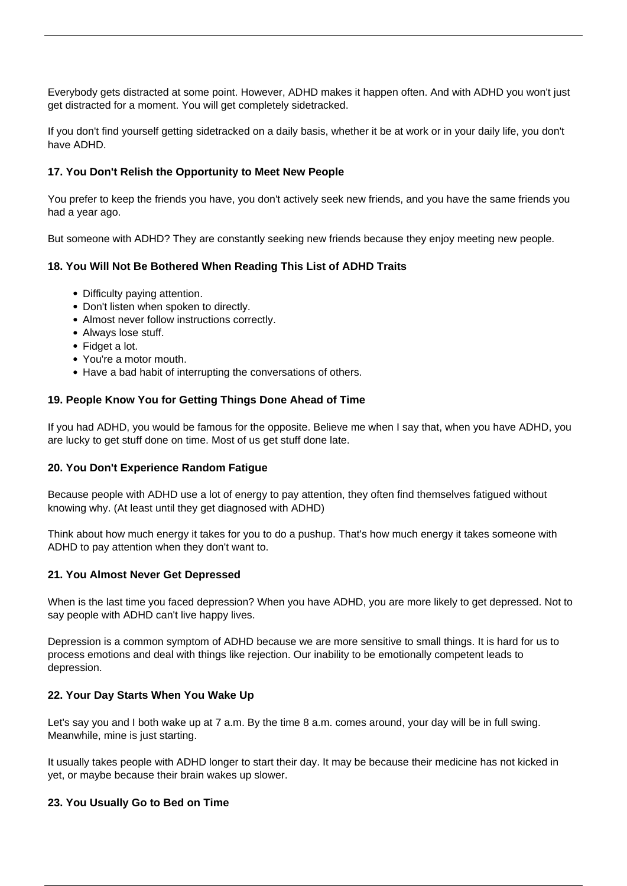Everybody gets distracted at some point. However, [ADHD makes it happen often](/adhd-distractions/). And with ADHD you won't just get distracted for a moment. You will get completely sidetracked.

If you don't find yourself getting sidetracked on a daily basis, whether it be at work or in your daily life, you don't have ADHD.

#### **17. You Don't Relish the Opportunity to Meet New People**

You prefer to keep the friends you have, you don't actively seek new friends, and you have the same friends you had a year ago.

But someone with ADHD? They are constantly seeking new friends because they enjoy meeting new people.

#### **18. You Will Not Be Bothered When Reading This List of ADHD Traits**

- Difficulty paying attention.
- Don't listen when spoken to directly.
- Almost never follow instructions correctly.
- Always lose stuff.
- Fidget a lot.
- You're a motor mouth.
- Have a bad habit of interrupting the conversations of others.

#### **19. People Know You for Getting Things Done Ahead of Time**

If you had ADHD, you would be famous for the opposite. Believe me when I say that, when you have ADHD, you are lucky to get stuff done on time. Most of us get stuff done late.

#### **20. You Don't Experience Random Fatigue**

Because people with ADHD use a lot of energy to pay attention, they often find themselves [fatigued](/adhd-fatigue/) without knowing why. (At least until they get diagnosed with ADHD)

Think about how much energy it takes for you to do a pushup. That's how much energy it takes someone with ADHD to pay attention when they don't want to.

#### **21. You Almost Never Get Depressed**

When is the last time you faced depression? When you have ADHD, you are [more likely to get depressed.](/adhd-and-depression/) Not to say people with ADHD can't live happy lives.

Depression is a common [symptom of ADHD](/symptoms-of-adhd/) because we are more sensitive to small things. It is hard for us to process emotions and deal with things like rejection. Our inability to be emotionally competent leads to depression.

#### **22. Your Day Starts When You Wake Up**

Let's say you and I both wake up at 7 a.m. By the time 8 a.m. comes around, your day will be in full swing. Meanwhile, mine is just starting.

It usually takes people with ADHD longer to start their day. It may be because their medicine has not kicked in yet, or maybe because their brain wakes up slower.

#### **23. You Usually Go to Bed on Time**